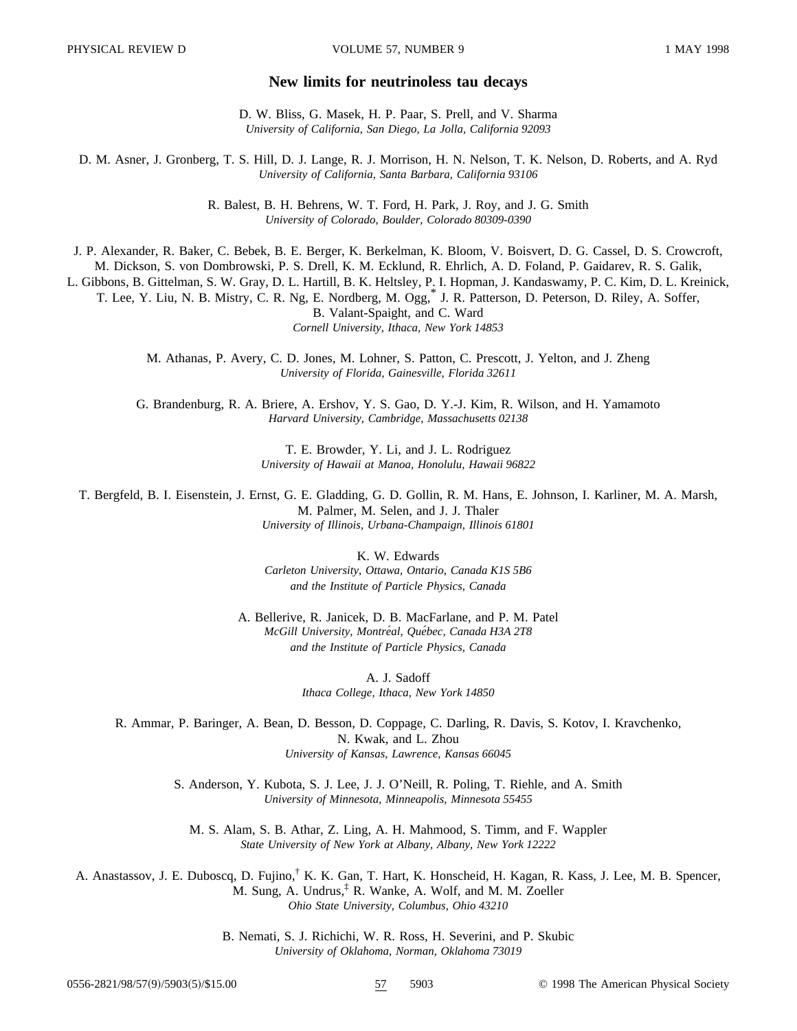## **New limits for neutrinoless tau decays**

D. W. Bliss, G. Masek, H. P. Paar, S. Prell, and V. Sharma *University of California, San Diego, La Jolla, California 92093*

D. M. Asner, J. Gronberg, T. S. Hill, D. J. Lange, R. J. Morrison, H. N. Nelson, T. K. Nelson, D. Roberts, and A. Ryd *University of California, Santa Barbara, California 93106*

> R. Balest, B. H. Behrens, W. T. Ford, H. Park, J. Roy, and J. G. Smith *University of Colorado, Boulder, Colorado 80309-0390*

J. P. Alexander, R. Baker, C. Bebek, B. E. Berger, K. Berkelman, K. Bloom, V. Boisvert, D. G. Cassel, D. S. Crowcroft,

M. Dickson, S. von Dombrowski, P. S. Drell, K. M. Ecklund, R. Ehrlich, A. D. Foland, P. Gaidarev, R. S. Galik,

L. Gibbons, B. Gittelman, S. W. Gray, D. L. Hartill, B. K. Heltsley, P. I. Hopman, J. Kandaswamy, P. C. Kim, D. L. Kreinick, T. Lee, Y. Liu, N. B. Mistry, C. R. Ng, E. Nordberg, M. Ogg,\* J. R. Patterson, D. Peterson, D. Riley, A. Soffer, B. Valant-Spaight, and C. Ward

*Cornell University, Ithaca, New York 14853*

M. Athanas, P. Avery, C. D. Jones, M. Lohner, S. Patton, C. Prescott, J. Yelton, and J. Zheng *University of Florida, Gainesville, Florida 32611*

G. Brandenburg, R. A. Briere, A. Ershov, Y. S. Gao, D. Y.-J. Kim, R. Wilson, and H. Yamamoto *Harvard University, Cambridge, Massachusetts 02138*

> T. E. Browder, Y. Li, and J. L. Rodriguez *University of Hawaii at Manoa, Honolulu, Hawaii 96822*

T. Bergfeld, B. I. Eisenstein, J. Ernst, G. E. Gladding, G. D. Gollin, R. M. Hans, E. Johnson, I. Karliner, M. A. Marsh, M. Palmer, M. Selen, and J. J. Thaler *University of Illinois, Urbana-Champaign, Illinois 61801*

> K. W. Edwards *Carleton University, Ottawa, Ontario, Canada K1S 5B6 and the Institute of Particle Physics, Canada*

A. Bellerive, R. Janicek, D. B. MacFarlane, and P. M. Patel *McGill University, Montre´al, Que´bec, Canada H3A 2T8 and the Institute of Particle Physics, Canada*

> A. J. Sadoff *Ithaca College, Ithaca, New York 14850*

R. Ammar, P. Baringer, A. Bean, D. Besson, D. Coppage, C. Darling, R. Davis, S. Kotov, I. Kravchenko, N. Kwak, and L. Zhou *University of Kansas, Lawrence, Kansas 66045*

S. Anderson, Y. Kubota, S. J. Lee, J. J. O'Neill, R. Poling, T. Riehle, and A. Smith *University of Minnesota, Minneapolis, Minnesota 55455*

M. S. Alam, S. B. Athar, Z. Ling, A. H. Mahmood, S. Timm, and F. Wappler *State University of New York at Albany, Albany, New York 12222*

A. Anastassov, J. E. Duboscq, D. Fujino,† K. K. Gan, T. Hart, K. Honscheid, H. Kagan, R. Kass, J. Lee, M. B. Spencer, M. Sung, A. Undrus,‡ R. Wanke, A. Wolf, and M. M. Zoeller *Ohio State University, Columbus, Ohio 43210*

> B. Nemati, S. J. Richichi, W. R. Ross, H. Severini, and P. Skubic *University of Oklahoma, Norman, Oklahoma 73019*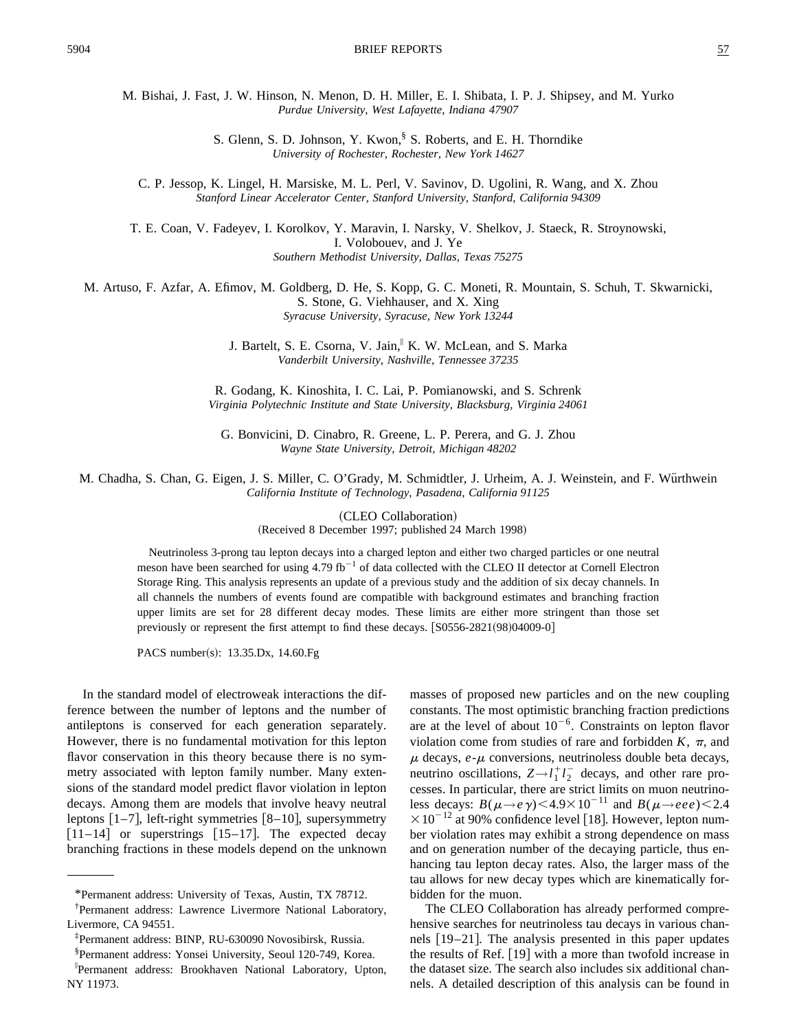M. Bishai, J. Fast, J. W. Hinson, N. Menon, D. H. Miller, E. I. Shibata, I. P. J. Shipsey, and M. Yurko *Purdue University, West Lafayette, Indiana 47907*

> S. Glenn, S. D. Johnson, Y. Kwon, S. Roberts, and E. H. Thorndike *University of Rochester, Rochester, New York 14627*

C. P. Jessop, K. Lingel, H. Marsiske, M. L. Perl, V. Savinov, D. Ugolini, R. Wang, and X. Zhou *Stanford Linear Accelerator Center, Stanford University, Stanford, California 94309*

T. E. Coan, V. Fadeyev, I. Korolkov, Y. Maravin, I. Narsky, V. Shelkov, J. Staeck, R. Stroynowski, I. Volobouev, and J. Ye *Southern Methodist University, Dallas, Texas 75275*

M. Artuso, F. Azfar, A. Efimov, M. Goldberg, D. He, S. Kopp, G. C. Moneti, R. Mountain, S. Schuh, T. Skwarnicki, S. Stone, G. Viehhauser, and X. Xing *Syracuse University, Syracuse, New York 13244*

> J. Bartelt, S. E. Csorna, V. Jain,<sup>11</sup> K. W. McLean, and S. Marka *Vanderbilt University, Nashville, Tennessee 37235*

R. Godang, K. Kinoshita, I. C. Lai, P. Pomianowski, and S. Schrenk *Virginia Polytechnic Institute and State University, Blacksburg, Virginia 24061*

G. Bonvicini, D. Cinabro, R. Greene, L. P. Perera, and G. J. Zhou *Wayne State University, Detroit, Michigan 48202*

M. Chadha, S. Chan, G. Eigen, J. S. Miller, C. O'Grady, M. Schmidtler, J. Urheim, A. J. Weinstein, and F. Wu¨rthwein *California Institute of Technology, Pasadena, California 91125*

(CLEO Collaboration)

(Received 8 December 1997; published 24 March 1998)

Neutrinoless 3-prong tau lepton decays into a charged lepton and either two charged particles or one neutral meson have been searched for using  $4.79 \text{ fb}^{-1}$  of data collected with the CLEO II detector at Cornell Electron Storage Ring. This analysis represents an update of a previous study and the addition of six decay channels. In all channels the numbers of events found are compatible with background estimates and branching fraction upper limits are set for 28 different decay modes. These limits are either more stringent than those set previously or represent the first attempt to find these decays.  $[**S0556-2821(98)04009-0**]$ 

PACS number(s): 13.35.Dx, 14.60.Fg

In the standard model of electroweak interactions the difference between the number of leptons and the number of antileptons is conserved for each generation separately. However, there is no fundamental motivation for this lepton flavor conservation in this theory because there is no symmetry associated with lepton family number. Many extensions of the standard model predict flavor violation in lepton decays. Among them are models that involve heavy neutral leptons  $\lceil 1-7 \rceil$ , left-right symmetries  $\lceil 8-10 \rceil$ , supersymmetry  $|11-14|$  or superstrings  $|15-17|$ . The expected decay branching fractions in these models depend on the unknown masses of proposed new particles and on the new coupling constants. The most optimistic branching fraction predictions are at the level of about  $10^{-6}$ . Constraints on lepton flavor violation come from studies of rare and forbidden  $K$ ,  $\pi$ , and  $\mu$  decays,  $e$ - $\mu$  conversions, neutrinoless double beta decays, neutrino oscillations,  $Z \rightarrow l_1^+ l_2^-$  decays, and other rare processes. In particular, there are strict limits on muon neutrinoless decays:  $B(\mu \to e \gamma)$  < 4.9×10<sup>-11</sup> and  $B(\mu \to e e e)$  < 2.4  $\times 10^{-12}$  at 90% confidence level [18]. However, lepton number violation rates may exhibit a strong dependence on mass and on generation number of the decaying particle, thus enhancing tau lepton decay rates. Also, the larger mass of the tau allows for new decay types which are kinematically forbidden for the muon.

The CLEO Collaboration has already performed comprehensive searches for neutrinoless tau decays in various channels  $[19-21]$ . The analysis presented in this paper updates the results of Ref.  $[19]$  with a more than twofold increase in the dataset size. The search also includes six additional channels. A detailed description of this analysis can be found in

<sup>\*</sup>Permanent address: University of Texas, Austin, TX 78712.

<sup>†</sup> Permanent address: Lawrence Livermore National Laboratory, Livermore, CA 94551.

<sup>‡</sup> Permanent address: BINP, RU-630090 Novosibirsk, Russia.

<sup>§</sup> Permanent address: Yonsei University, Seoul 120-749, Korea.

i Permanent address: Brookhaven National Laboratory, Upton, NY 11973.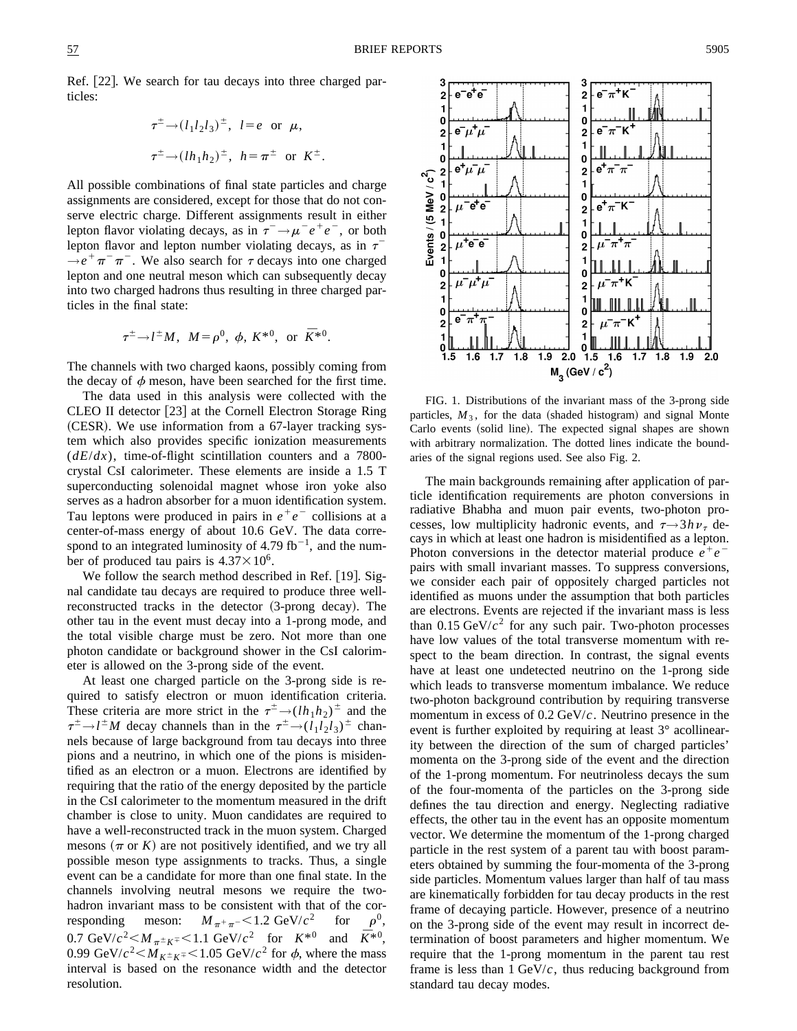3

 $\overline{a}$ 

1  $\mathbf{0}$   $e^-e^+e^-$ 

Ref.  $|22|$ . We search for tau decays into three charged particles:

$$
\tau^{\pm} \rightarrow (l_1 l_2 l_3)^{\pm}, \quad l = e \quad \text{or} \quad \mu,
$$
  

$$
\tau^{\pm} \rightarrow (l h_1 h_2)^{\pm}, \quad h = \pi^{\pm} \quad \text{or} \quad K^{\pm}.
$$

All possible combinations of final state particles and charge assignments are considered, except for those that do not conserve electric charge. Different assignments result in either lepton flavor violating decays, as in  $\tau^- \rightarrow \mu^- e^+ e^-$ , or both lepton flavor and lepton number violating decays, as in  $\tau$ <sup>-</sup>  $\rightarrow e^+ \pi^- \pi^-$ . We also search for  $\tau$  decays into one charged lepton and one neutral meson which can subsequently decay into two charged hadrons thus resulting in three charged particles in the final state:

$$
\tau^{\pm} \to l^{\pm} M
$$
,  $M = \rho^0$ ,  $\phi$ ,  $K^{*0}$ , or  $\bar{K}^{*0}$ .

The channels with two charged kaons, possibly coming from the decay of  $\phi$  meson, have been searched for the first time.

The data used in this analysis were collected with the CLEO II detector [23] at the Cornell Electron Storage Ring  $(CESR)$ . We use information from a 67-layer tracking system which also provides specific ionization measurements  $(dE/dx)$ , time-of-flight scintillation counters and a 7800crystal CsI calorimeter. These elements are inside a 1.5 T superconducting solenoidal magnet whose iron yoke also serves as a hadron absorber for a muon identification system. Tau leptons were produced in pairs in  $e^+e^-$  collisions at a center-of-mass energy of about 10.6 GeV. The data correspond to an integrated luminosity of 4.79 fb<sup>-1</sup>, and the number of produced tau pairs is  $4.37 \times 10^6$ .

We follow the search method described in Ref.  $|19|$ . Signal candidate tau decays are required to produce three wellreconstructed tracks in the detector  $(3\text{-prong decay})$ . The other tau in the event must decay into a 1-prong mode, and the total visible charge must be zero. Not more than one photon candidate or background shower in the CsI calorimeter is allowed on the 3-prong side of the event.

At least one charged particle on the 3-prong side is required to satisfy electron or muon identification criteria. These criteria are more strict in the  $\tau^{\pm} \rightarrow (lh_1h_2)^{\pm}$  and the  $\tau^{\pm} \rightarrow l^{\pm}M$  decay channels than in the  $\tau^{\pm} \rightarrow (l_1 l_2 l_3)^{\pm}$  channels because of large background from tau decays into three pions and a neutrino, in which one of the pions is misidentified as an electron or a muon. Electrons are identified by requiring that the ratio of the energy deposited by the particle in the CsI calorimeter to the momentum measured in the drift chamber is close to unity. Muon candidates are required to have a well-reconstructed track in the muon system. Charged mesons  $(\pi$  or *K*) are not positively identified, and we try all possible meson type assignments to tracks. Thus, a single event can be a candidate for more than one final state. In the channels involving neutral mesons we require the twohadron invariant mass to be consistent with that of the corresponding meson:  $M_{\pi^+\pi^-}$  < 1.2 GeV/ $c^2$  for  $\rho^0$ , 0.7 GeV/ $c^2 < M_{\pi^{\pm} K^{\mp}} < 1.1$  GeV/ $c^2$  for  $K^{*0}$  and  $\bar{K}^{*0}$ , 0.99 GeV/ $c^2 < M_{K^{\pm} K^{\mp}} < 1.05$  GeV/ $c^2$  for  $\phi$ , where the mass interval is based on the resonance width and the detector resolution.



 $e^- \pi^+ K$ 

2

 $\blacksquare$ 

 $\Omega$ 

FIG. 1. Distributions of the invariant mass of the 3-prong side particles,  $M_3$ , for the data (shaded histogram) and signal Monte Carlo events (solid line). The expected signal shapes are shown with arbitrary normalization. The dotted lines indicate the boundaries of the signal regions used. See also Fig. 2.

The main backgrounds remaining after application of particle identification requirements are photon conversions in radiative Bhabha and muon pair events, two-photon processes, low multiplicity hadronic events, and  $\tau \rightarrow 3h\nu_{\tau}$  decays in which at least one hadron is misidentified as a lepton. Photon conversions in the detector material produce  $e^+e^$ pairs with small invariant masses. To suppress conversions, we consider each pair of oppositely charged particles not identified as muons under the assumption that both particles are electrons. Events are rejected if the invariant mass is less than  $0.15 \text{ GeV}/c^2$  for any such pair. Two-photon processes have low values of the total transverse momentum with respect to the beam direction. In contrast, the signal events have at least one undetected neutrino on the 1-prong side which leads to transverse momentum imbalance. We reduce two-photon background contribution by requiring transverse momentum in excess of 0.2 GeV/*c*. Neutrino presence in the event is further exploited by requiring at least 3° acollinearity between the direction of the sum of charged particles' momenta on the 3-prong side of the event and the direction of the 1-prong momentum. For neutrinoless decays the sum of the four-momenta of the particles on the 3-prong side defines the tau direction and energy. Neglecting radiative effects, the other tau in the event has an opposite momentum vector. We determine the momentum of the 1-prong charged particle in the rest system of a parent tau with boost parameters obtained by summing the four-momenta of the 3-prong side particles. Momentum values larger than half of tau mass are kinematically forbidden for tau decay products in the rest frame of decaying particle. However, presence of a neutrino on the 3-prong side of the event may result in incorrect determination of boost parameters and higher momentum. We require that the 1-prong momentum in the parent tau rest frame is less than  $1 \text{ GeV}/c$ , thus reducing background from standard tau decay modes.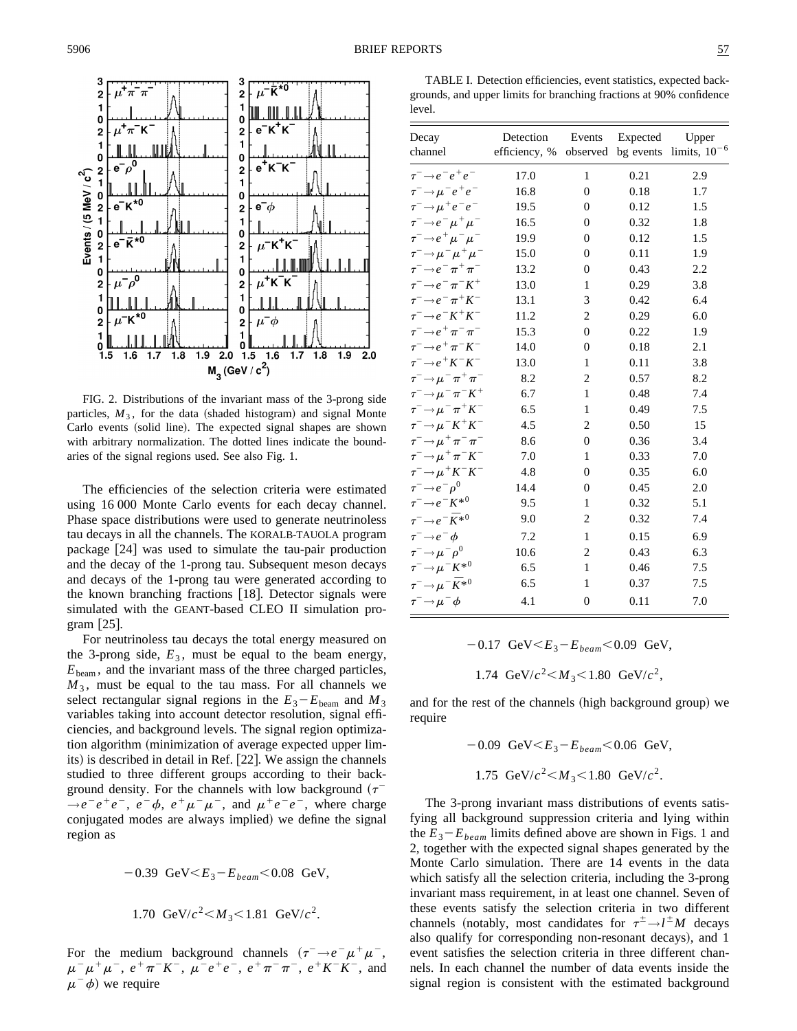

FIG. 2. Distributions of the invariant mass of the 3-prong side particles,  $M_3$ , for the data (shaded histogram) and signal Monte Carlo events (solid line). The expected signal shapes are shown with arbitrary normalization. The dotted lines indicate the boundaries of the signal regions used. See also Fig. 1.

The efficiencies of the selection criteria were estimated using 16 000 Monte Carlo events for each decay channel. Phase space distributions were used to generate neutrinoless tau decays in all the channels. The KORALB-TAUOLA program package  $[24]$  was used to simulate the tau-pair production and the decay of the 1-prong tau. Subsequent meson decays and decays of the 1-prong tau were generated according to the known branching fractions [18]. Detector signals were simulated with the GEANT-based CLEO II simulation program  $[25]$ .

For neutrinoless tau decays the total energy measured on the 3-prong side,  $E_3$ , must be equal to the beam energy,  $E_{\text{beam}}$ , and the invariant mass of the three charged particles,  $M_3$ , must be equal to the tau mass. For all channels we select rectangular signal regions in the  $E_3 - E_{\text{beam}}$  and  $M_3$ variables taking into account detector resolution, signal efficiencies, and background levels. The signal region optimization algorithm (minimization of average expected upper limits) is described in detail in Ref. [22]. We assign the channels studied to three different groups according to their background density. For the channels with low background  $(\tau^ \rightarrow e^-e^+e^-$ ,  $e^ \phi$ ,  $e^+\mu^-\mu^-$ , and  $\mu^+e^-e^-$ , where charge conjugated modes are always implied) we define the signal region as

$$
-0.39 \text{ GeV} < E_3 - E_{beam} < 0.08 \text{ GeV},
$$
\n
$$
1.70 \text{ GeV}/c^2 < M_3 < 1.81 \text{ GeV}/c^2.
$$

For the medium background channels  $(\tau^- \rightarrow e^- \mu^+ \mu^-$ ,  $\mu^{-} \mu^{+} \mu^{-}$ ,  $e^{+} \pi^{-} K^{-}$ ,  $\mu^{-} e^{+} e^{-}$ ,  $e^{+} \pi^{-} \pi^{-}$ ,  $e^{+} K^{-} K^{-}$ , and  $\mu$ <sup>-</sup> $\phi$ ) we require

TABLE I. Detection efficiencies, event statistics, expected backgrounds, and upper limits for branching fractions at 90% confidence level.

| Decay                                     | Detection     | Events         | Expected  | Upper             |
|-------------------------------------------|---------------|----------------|-----------|-------------------|
| channel                                   | efficiency, % | observed       | bg events | limits, $10^{-6}$ |
| $\tau^- \rightarrow e^- e^+ e^-$          | 17.0          | 1              | 0.21      | 2.9               |
| $\tau^ \rightarrow \mu^- e^+ e^-$         | 16.8          | $\overline{0}$ | 0.18      | 1.7               |
| $\tau^ \rightarrow \mu^+e^-e^-$           | 19.5          | $\theta$       | 0.12      | 1.5               |
| $\tau^-\rightarrow e^-\mu^+\mu^-$         | 16.5          | $\theta$       | 0.32      | 1.8               |
| $\tau^-\!\!\rightarrow\!e^+\mu^-\mu^-$    | 19.9          | $\overline{0}$ | 0.12      | 1.5               |
| $\tau^-\!\!\rightarrow\!\mu^-\mu^+\mu^-$  | 15.0          | $\overline{0}$ | 0.11      | 1.9               |
| $\tau^-\rightarrow e^-\pi^+\pi^-$         | 13.2          | $\theta$       | 0.43      | 2.2               |
| $\tau^-\!\rightarrow\!e^-\pi^-K^+$        | 13.0          | 1              | 0.29      | 3.8               |
| $\tau^- \rightarrow e^- \pi^+ K^-$        | 13.1          | 3              | 0.42      | 6.4               |
| $\tau^- \rightarrow e^- K^+ K^-$          | 11.2          | $\overline{c}$ | 0.29      | 6.0               |
| $\tau^-\rightarrow e^+\pi^-\pi^-$         | 15.3          | $\theta$       | 0.22      | 1.9               |
| $\tau^ \rightarrow$ $e^+$ $\pi^ K^-$      | 14.0          | $\overline{0}$ | 0.18      | 2.1               |
| $\tau^ \rightarrow$ e $^+K^-K^-$          | 13.0          | $\mathbf{1}$   | 0.11      | 3.8               |
| $\tau^-\!\rightarrow\!\mu^-\pi^+\pi^-$    | 8.2           | $\overline{c}$ | 0.57      | 8.2               |
| $\tau^ \rightarrow$ $\mu^ \pi^ K^+$       | 6.7           | 1              | 0.48      | 7.4               |
| $\tau^-\!\!\rightarrow\!\mu^-\pi^+K^-$    | 6.5           | 1              | 0.49      | 7.5               |
| $\tau^- \rightarrow \mu^- K^+ K^-$        | 4.5           | 2              | 0.50      | 15                |
| $\tau^-\!\!\rightarrow\!\mu^+\pi^-\pi^-$  | 8.6           | $\theta$       | 0.36      | 3.4               |
| $\tau^ \rightarrow$ $\mu^+$ $\pi^ K^-$    | 7.0           | 1              | 0.33      | 7.0               |
| $\tau^- \rightarrow \mu^+ K^- K^-$        | 4.8           | $\theta$       | 0.35      | 6.0               |
| $\tau^- \rightarrow e^- \rho^0$           | 14.4          | $\overline{0}$ | 0.45      | 2.0               |
| $\tau^- \rightarrow e^- K^{*0}$           | 9.5           | $\mathbf{1}$   | 0.32      | 5.1               |
| $\tau^-\!\rightarrow\!e^-\bar K^{*0}$     | 9.0           | 2              | 0.32      | 7.4               |
| $\tau^ \rightarrow$ $e^ \phi$             | 7.2           | $\mathbf{1}$   | 0.15      | 6.9               |
| $\tau^-\!\!\rightarrow\!\mu^-\rho^0$      | 10.6          | $\overline{c}$ | 0.43      | 6.3               |
| $\tau^-\!\!\rightarrow\!\mu^-K^{*0}$      | 6.5           | 1              | 0.46      | 7.5               |
| $\tau^-\!\!\rightarrow\!\mu^-\bar K^{*0}$ | 6.5           | $\mathbf{1}$   | 0.37      | 7.5               |
| $\tau^ \rightarrow \mu^ \phi$             | 4.1           | $\theta$       | 0.11      | 7.0               |
|                                           |               |                |           |                   |

$$
-0.17 \text{ GeV} < E_3 - E_{beam} < 0.09 \text{ GeV},
$$
\n
$$
1.74 \text{ GeV}/c^2 < M_3 < 1.80 \text{ GeV}/c^2,
$$

and for the rest of the channels (high background group) we require

> $-0.09 \text{ GeV} \leq E_3 - E_{beam} \leq 0.06 \text{ GeV},$ 1.75 GeV/ $c^2$   $< M_3$   $< 1.80$  GeV/ $c^2$ .

The 3-prong invariant mass distributions of events satisfying all background suppression criteria and lying within the  $E_3 - E_{beam}$  limits defined above are shown in Figs. 1 and 2, together with the expected signal shapes generated by the Monte Carlo simulation. There are 14 events in the data which satisfy all the selection criteria, including the 3-prong invariant mass requirement, in at least one channel. Seven of these events satisfy the selection criteria in two different channels (notably, most candidates for  $\tau^{\pm} \rightarrow l^{\pm}M$  decays also qualify for corresponding non-resonant decays), and 1 event satisfies the selection criteria in three different channels. In each channel the number of data events inside the signal region is consistent with the estimated background